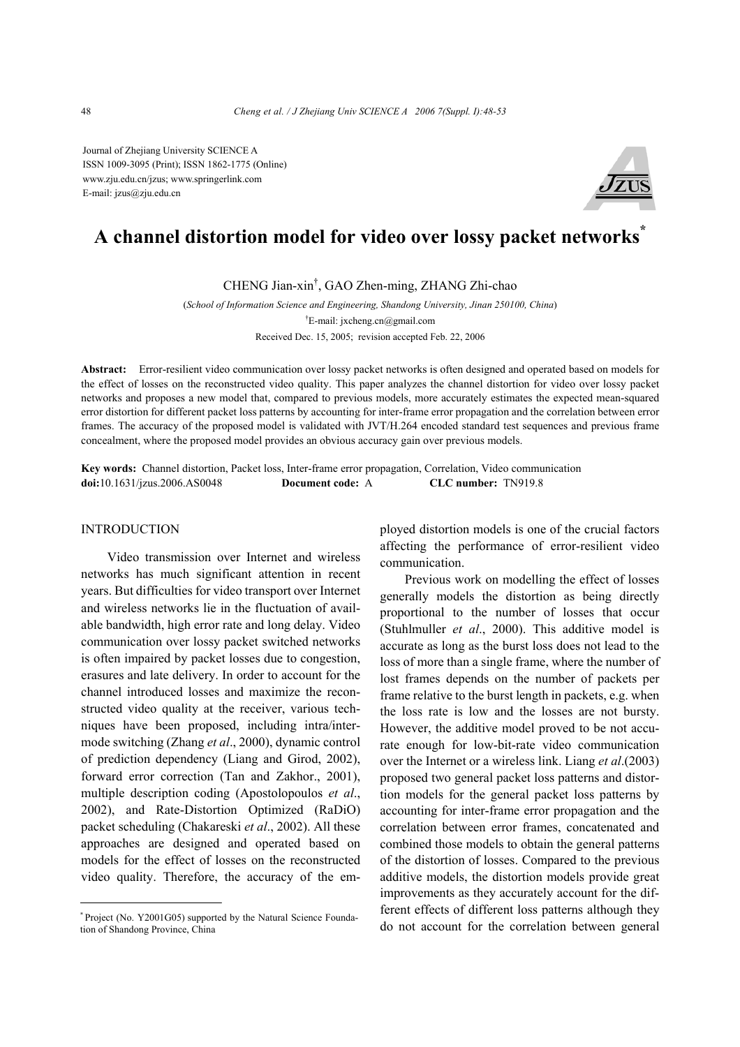Journal of Zhejiang University SCIENCE A ISSN 1009-3095 (Print); ISSN 1862-1775 (Online) www.zju.edu.cn/jzus; www.springerlink.com E-mail: jzus@zju.edu.cn



# **A channel distortion model for video over lossy packet networks\***

CHENG Jian-xin† , GAO Zhen-ming, ZHANG Zhi-chao

(*School of Information Science and Engineering, Shandong University, Jinan 250100, China*) † E-mail: jxcheng.cn@gmail.com Received Dec. 15, 2005; revision accepted Feb. 22, 2006

**Abstract:** Error-resilient video communication over lossy packet networks is often designed and operated based on models for the effect of losses on the reconstructed video quality. This paper analyzes the channel distortion for video over lossy packet networks and proposes a new model that, compared to previous models, more accurately estimates the expected mean-squared error distortion for different packet loss patterns by accounting for inter-frame error propagation and the correlation between error frames. The accuracy of the proposed model is validated with JVT/H.264 encoded standard test sequences and previous frame concealment, where the proposed model provides an obvious accuracy gain over previous models.

**Key words:** Channel distortion, Packet loss, Inter-frame error propagation, Correlation, Video communication **doi:**10.1631/jzus.2006.AS0048 **Document code:** A **CLC number:** TN919.8

# INTRODUCTION

Video transmission over Internet and wireless networks has much significant attention in recent years. But difficulties for video transport over Internet and wireless networks lie in the fluctuation of available bandwidth, high error rate and long delay. Video communication over lossy packet switched networks is often impaired by packet losses due to congestion, erasures and late delivery. In order to account for the channel introduced losses and maximize the reconstructed video quality at the receiver, various techniques have been proposed, including intra/intermode switching (Zhang *et al*., 2000), dynamic control of prediction dependency (Liang and Girod, 2002), forward error correction (Tan and Zakhor., 2001), multiple description coding (Apostolopoulos *et al*., 2002), and Rate-Distortion Optimized (RaDiO) packet scheduling (Chakareski *et al*., 2002). All these approaches are designed and operated based on models for the effect of losses on the reconstructed video quality. Therefore, the accuracy of the employed distortion models is one of the crucial factors affecting the performance of error-resilient video communication.

Previous work on modelling the effect of losses generally models the distortion as being directly proportional to the number of losses that occur (Stuhlmuller *et al*., 2000). This additive model is accurate as long as the burst loss does not lead to the loss of more than a single frame, where the number of lost frames depends on the number of packets per frame relative to the burst length in packets, e.g. when the loss rate is low and the losses are not bursty. However, the additive model proved to be not accurate enough for low-bit-rate video communication over the Internet or a wireless link. Liang *et al*.(2003) proposed two general packet loss patterns and distortion models for the general packet loss patterns by accounting for inter-frame error propagation and the correlation between error frames, concatenated and combined those models to obtain the general patterns of the distortion of losses. Compared to the previous additive models, the distortion models provide great improvements as they accurately account for the different effects of different loss patterns although they do not account for the correlation between general

<sup>\*</sup> Project (No. Y2001G05) supported by the Natural Science Foundation of Shandong Province, China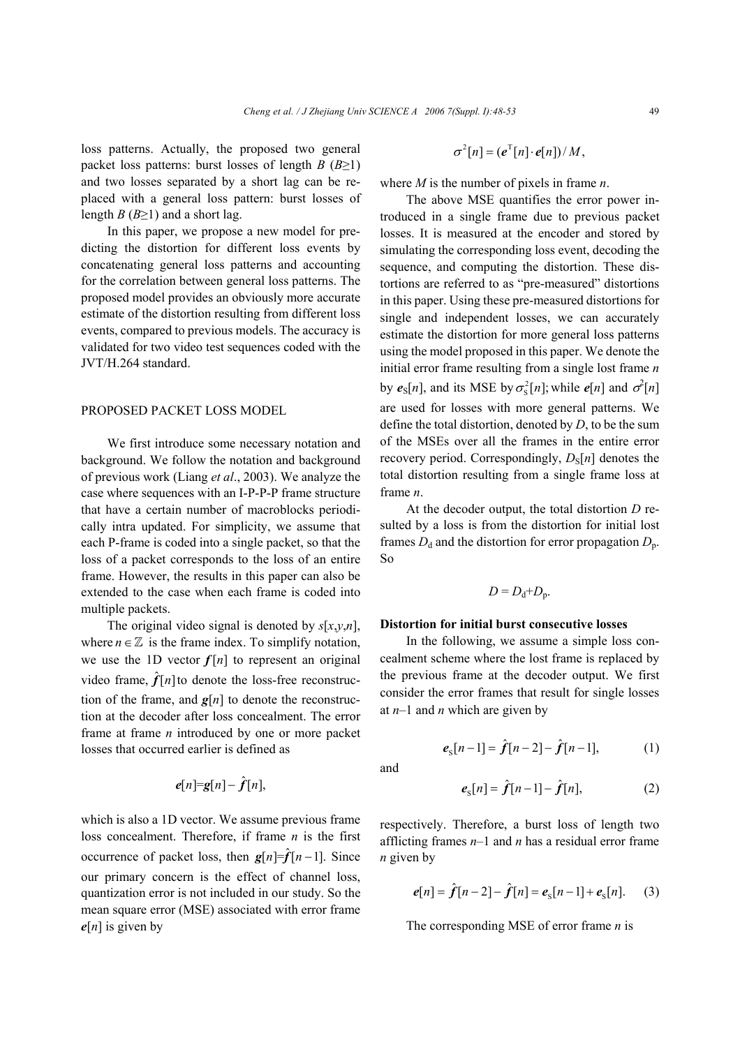loss patterns. Actually, the proposed two general packet loss patterns: burst losses of length *B* ( $B \ge 1$ ) and two losses separated by a short lag can be replaced with a general loss pattern: burst losses of length  $B(B \geq 1)$  and a short lag.

In this paper, we propose a new model for predicting the distortion for different loss events by concatenating general loss patterns and accounting for the correlation between general loss patterns. The proposed model provides an obviously more accurate estimate of the distortion resulting from different loss events, compared to previous models. The accuracy is validated for two video test sequences coded with the JVT/H.264 standard.

## PROPOSED PACKET LOSS MODEL

We first introduce some necessary notation and background. We follow the notation and background of previous work (Liang *et al*., 2003). We analyze the case where sequences with an I-P-P-P frame structure that have a certain number of macroblocks periodically intra updated. For simplicity, we assume that each P-frame is coded into a single packet, so that the loss of a packet corresponds to the loss of an entire frame. However, the results in this paper can also be extended to the case when each frame is coded into multiple packets.

The original video signal is denoted by *s*[*x*,*y*,*n*], where  $n \in \mathbb{Z}$  is the frame index. To simplify notation, we use the 1D vector  $f[n]$  to represent an original video frame,  $\hat{f}[n]$  to denote the loss-free reconstruction of the frame, and  $g[n]$  to denote the reconstruction at the decoder after loss concealment. The error frame at frame *n* introduced by one or more packet losses that occurred earlier is defined as

$$
e[n]=g[n]-\hat{f}[n],
$$

which is also a 1D vector. We assume previous frame loss concealment. Therefore, if frame *n* is the first occurrence of packet loss, then  $g[n]=\hat{f}[n-1]$ . Since our primary concern is the effect of channel loss, quantization error is not included in our study. So the mean square error (MSE) associated with error frame *e*[*n*] is given by

$$
\sigma^2[n] = (e^T[n] \cdot e[n])/M,
$$

where *M* is the number of pixels in frame *n*.

The above MSE quantifies the error power introduced in a single frame due to previous packet losses. It is measured at the encoder and stored by simulating the corresponding loss event, decoding the sequence, and computing the distortion. These distortions are referred to as "pre-measured" distortions in this paper. Using these pre-measured distortions for single and independent losses, we can accurately estimate the distortion for more general loss patterns using the model proposed in this paper. We denote the initial error frame resulting from a single lost frame *n* by  $e_S[n]$ , and its MSE by  $\sigma_S^2[n]$ ; while  $e[n]$  and  $\sigma^2[n]$ are used for losses with more general patterns. We define the total distortion, denoted by *D*, to be the sum of the MSEs over all the frames in the entire error recovery period. Correspondingly,  $D_S[n]$  denotes the total distortion resulting from a single frame loss at frame *n*.

At the decoder output, the total distortion *D* resulted by a loss is from the distortion for initial lost frames  $D_d$  and the distortion for error propagation  $D_p$ . So

$$
D = D_{\rm d} + D_{\rm p}.
$$

# **Distortion for initial burst consecutive losses**

In the following, we assume a simple loss concealment scheme where the lost frame is replaced by the previous frame at the decoder output. We first consider the error frames that result for single losses at *n*–1 and *n* which are given by

$$
e_{\rm s}[n-1] = \hat{f}[n-2] - \hat{f}[n-1], \tag{1}
$$

and

$$
e_{\rm s}[n] = \hat{f}[n-1] - \hat{f}[n],\tag{2}
$$

respectively. Therefore, a burst loss of length two afflicting frames *n*–1 and *n* has a residual error frame *n* given by

$$
e[n] = \hat{f}[n-2] - \hat{f}[n] = e_{S}[n-1] + e_{S}[n]. \quad (3)
$$

The corresponding MSE of error frame *n* is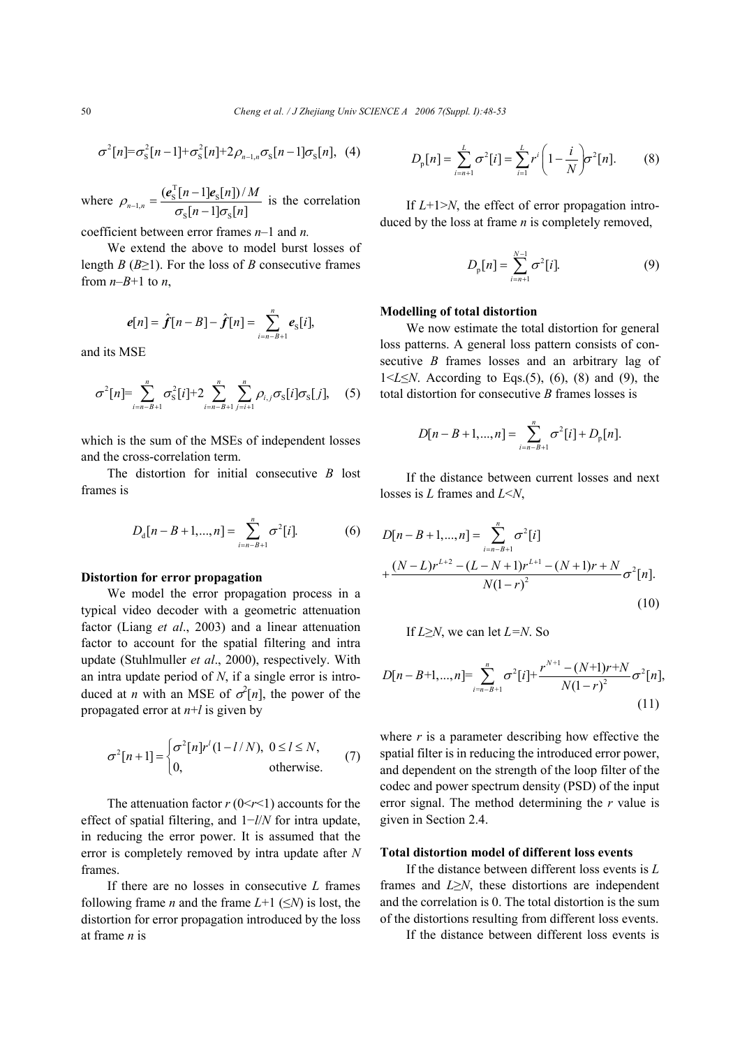$$
\sigma^{2}[n] = \sigma_{S}^{2}[n-1] + \sigma_{S}^{2}[n] + 2\rho_{n-1,n}\sigma_{S}[n-1]\sigma_{S}[n], \quad (4)
$$

where  $\sum_{n=1, n=1}^{\infty} \frac{(e_{\rm S}^{\rm T}[n-1]e_{\rm S}^{\rm T}]}{e_{\rm S}^{\rm T}e_{\rm S}^{\rm T}}$  $s^{u}$  y  $s^{u}$  $(e_{\rm s}^{\rm T}[n-1]e_{\rm s}[n])/$  $\sigma_{\rm s}[n-1] \sigma_{\rm s}[n]$  $n-1$ **]** $e_s[n]$ *)* / *M*  $\rho_{n-1,n} = \frac{(\mathbf{e}_s^T[n-1]\mathbf{e}_s[n])/M}{\sigma_s[n-1]\sigma_s[n]}$  is the correlation

coefficient between error frames *n*–1 and *n.*

We extend the above to model burst losses of length *B* ( $B \ge 1$ ). For the loss of *B* consecutive frames from  $n-B+1$  to *n*,

$$
e[n] = \hat{f}[n-B] - \hat{f}[n] = \sum_{i=n-B+1}^{n} e_{S}[i],
$$

and its MSE

$$
\sigma^{2}[n] = \sum_{i=n-B+1}^{n} \sigma_{\rm S}^{2}[i] + 2 \sum_{i=n-B+1}^{n} \sum_{j=i+1}^{n} \rho_{i,j} \sigma_{\rm S}[i] \sigma_{\rm S}[j], \quad (5)
$$

which is the sum of the MSEs of independent losses and the cross-correlation term.

The distortion for initial consecutive *B* lost frames is

$$
D_{\rm d}[n-B+1,...,n] = \sum_{i=n-B+1}^{n} \sigma^2[i]. \tag{6}
$$

# **Distortion for error propagation**

We model the error propagation process in a typical video decoder with a geometric attenuation factor (Liang *et al*., 2003) and a linear attenuation factor to account for the spatial filtering and intra update (Stuhlmuller *et al*., 2000), respectively. With an intra update period of *N*, if a single error is introduced at *n* with an MSE of  $\sigma^2[n]$ , the power of the propagated error at *n*+*l* is given by

$$
\sigma^2[n+1] = \begin{cases} \sigma^2[n]r^l(1-l/N), & 0 \le l \le N, \\ 0, & \text{otherwise.} \end{cases}
$$
 (7)

The attenuation factor  $r(0 \le r \le 1)$  accounts for the effect of spatial filtering, and 1−*l*/*N* for intra update, in reducing the error power. It is assumed that the error is completely removed by intra update after *N* frames.

If there are no losses in consecutive *L* frames following frame *n* and the frame  $L+1$  ( $\leq N$ ) is lost, the distortion for error propagation introduced by the loss at frame *n* is

$$
D_{p}[n] = \sum_{i=n+1}^{L} \sigma^{2}[i] = \sum_{i=1}^{L} r^{i} \left(1 - \frac{i}{N}\right) \sigma^{2}[n].
$$
 (8)

If *L*+1>*N*, the effect of error propagation introduced by the loss at frame *n* is completely removed,

$$
D_{p}[n] = \sum_{i=n+1}^{N-1} \sigma^{2}[i].
$$
 (9)

## **Modelling of total distortion**

We now estimate the total distortion for general loss patterns. A general loss pattern consists of consecutive *B* frames losses and an arbitrary lag of  $1 \le L \le N$ . According to Eqs.(5), (6), (8) and (9), the total distortion for consecutive *B* frames losses is

$$
D[n - B + 1, ..., n] = \sum_{i=n-B+1}^{n} \sigma^{2}[i] + D_{p}[n].
$$

If the distance between current losses and next losses is *L* frames and *L*<*N*,

$$
D[n-B+1,...,n] = \sum_{i=n-B+1}^{n} \sigma^{2}[i]
$$
  
+ 
$$
\frac{(N-L)r^{L+2} - (L-N+1)r^{L+1} - (N+1)r + N}{N(1-r)^{2}} \sigma^{2}[n].
$$
  
(10)

If *L*≥*N*, we can let *L=N*. So

$$
D[n-B+1,...,n] = \sum_{i=n-B+1}^{n} \sigma^{2}[i] + \frac{r^{N+1} - (N+1)r + N}{N(1-r)^{2}} \sigma^{2}[n],
$$
\n(11)

where  $r$  is a parameter describing how effective the spatial filter is in reducing the introduced error power, and dependent on the strength of the loop filter of the codec and power spectrum density (PSD) of the input error signal. The method determining the *r* value is given in Section 2.4.

### **Total distortion model of different loss events**

If the distance between different loss events is *L* frames and *L*≥*N*, these distortions are independent and the correlation is 0. The total distortion is the sum of the distortions resulting from different loss events.

If the distance between different loss events is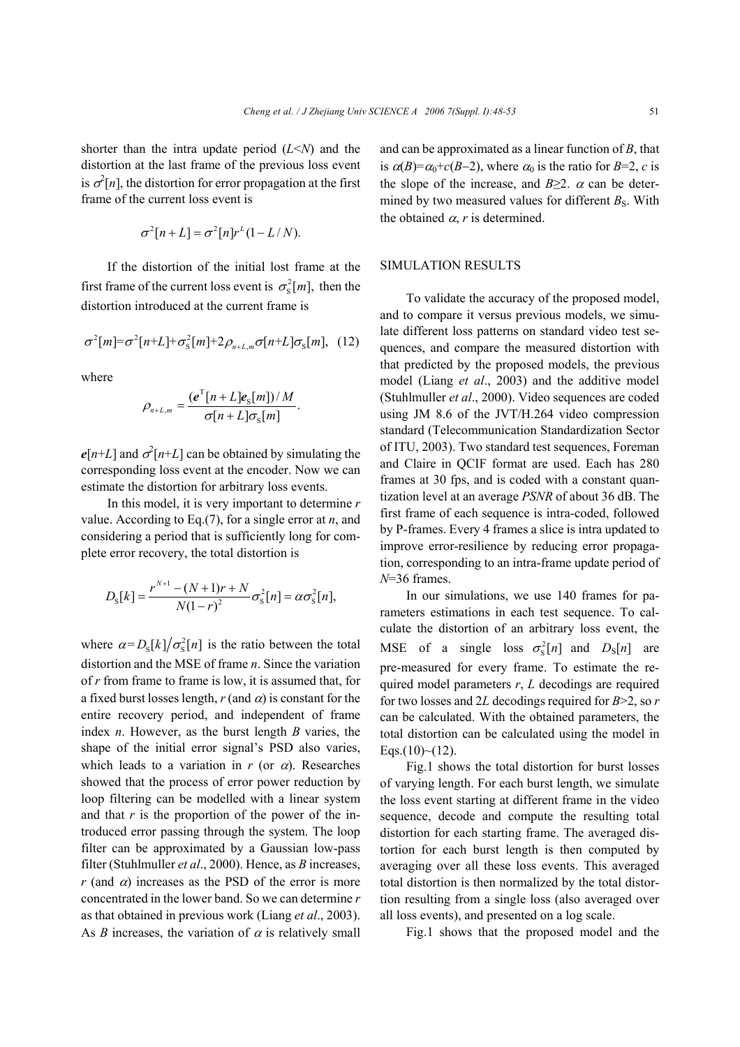shorter than the intra update period (*L*<*N*) and the distortion at the last frame of the previous loss event is  $\sigma^2[n]$ , the distortion for error propagation at the first frame of the current loss event is

$$
\sigma^2[n+L] = \sigma^2[n]r^L(1-L/N).
$$

If the distortion of the initial lost frame at the first frame of the current loss event is  $\sigma_s^2[m]$ , then the distortion introduced at the current frame is

$$
\sigma^2[m] = \sigma^2[n+L] + \sigma_s^2[m] + 2\rho_{n+L,m}\sigma[n+L]\sigma_s[m], \quad (12)
$$

where

$$
\rho_{n+L,m} = \frac{(e^{\mathrm{T}}[n+L]e_{\mathrm{S}}[m])/M}{\sigma[n+L]\sigma_{\mathrm{S}}[m]}.
$$

 $e[n+L]$  and  $\sigma^2[n+L]$  can be obtained by simulating the corresponding loss event at the encoder. Now we can estimate the distortion for arbitrary loss events.

In this model, it is very important to determine *r*  value. According to Eq.(7), for a single error at *n*, and considering a period that is sufficiently long for complete error recovery, the total distortion is

$$
D_{\rm S}[k] = \frac{r^{N+1} - (N+1)r + N}{N(1-r)^2} \sigma_{\rm S}^2[n] = \alpha \sigma_{\rm S}^2[n],
$$

where  $\alpha = D_s[k]/\sigma_s^2[n]$  is the ratio between the total distortion and the MSE of frame *n*. Since the variation of *r* from frame to frame is low, it is assumed that, for a fixed burst losses length,  $r$  (and  $\alpha$ ) is constant for the entire recovery period, and independent of frame index *n*. However, as the burst length *B* varies, the shape of the initial error signal's PSD also varies, which leads to a variation in  $r$  (or  $\alpha$ ). Researches showed that the process of error power reduction by loop filtering can be modelled with a linear system and that  $r$  is the proportion of the power of the introduced error passing through the system. The loop filter can be approximated by a Gaussian low-pass filter (Stuhlmuller *et al*., 2000). Hence, as *B* increases, *r* (and  $\alpha$ ) increases as the PSD of the error is more concentrated in the lower band. So we can determine *r* as that obtained in previous work (Liang *et al*., 2003). As *B* increases, the variation of  $\alpha$  is relatively small

and can be approximated as a linear function of *B*, that is  $\alpha(B)=\alpha_0+c(B-2)$ , where  $\alpha_0$  is the ratio for *B*=2, *c* is the slope of the increase, and  $B \geq 2$ .  $\alpha$  can be determined by two measured values for different  $B<sub>S</sub>$ . With the obtained  $\alpha$ , *r* is determined.

# SIMULATION RESULTS

To validate the accuracy of the proposed model, and to compare it versus previous models, we simulate different loss patterns on standard video test sequences, and compare the measured distortion with that predicted by the proposed models, the previous model (Liang *et al*., 2003) and the additive model (Stuhlmuller *et al*., 2000). Video sequences are coded using JM 8.6 of the JVT/H.264 video compression standard (Telecommunication Standardization Sector of ITU, 2003). Two standard test sequences, Foreman and Claire in QCIF format are used. Each has 280 frames at 30 fps, and is coded with a constant quantization level at an average *PSNR* of about 36 dB. The first frame of each sequence is intra-coded, followed by P-frames. Every 4 frames a slice is intra updated to improve error-resilience by reducing error propagation, corresponding to an intra-frame update period of *N*=36 frames.

In our simulations, we use 140 frames for parameters estimations in each test sequence. To calculate the distortion of an arbitrary loss event, the MSE of a single loss  $\sigma_s^2[n]$  and  $D_s[n]$  are pre-measured for every frame. To estimate the required model parameters *r*, *L* decodings are required for two losses and 2*L* decodings required for *B*>2, so *r* can be calculated. With the obtained parameters, the total distortion can be calculated using the model in  $Eqs.(10)~(12)$ .

Fig.1 shows the total distortion for burst losses of varying length. For each burst length, we simulate the loss event starting at different frame in the video sequence, decode and compute the resulting total distortion for each starting frame. The averaged distortion for each burst length is then computed by averaging over all these loss events. This averaged total distortion is then normalized by the total distortion resulting from a single loss (also averaged over all loss events), and presented on a log scale.

Fig.1 shows that the proposed model and the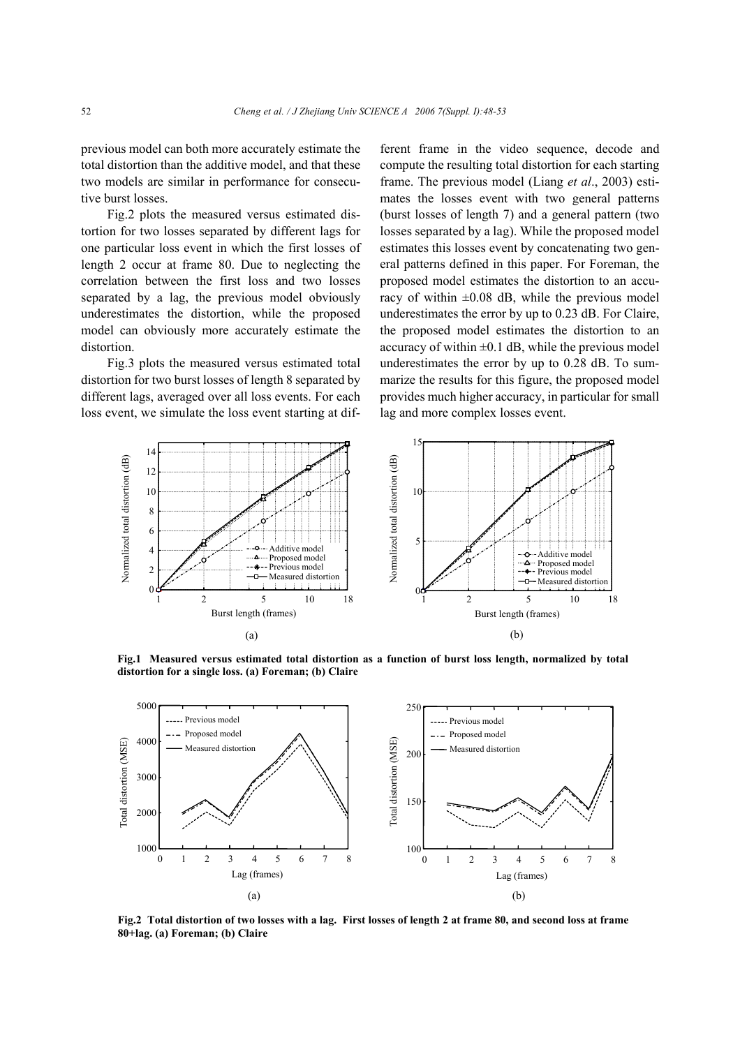previous model can both more accurately estimate the total distortion than the additive model, and that these two models are similar in performance for consecutive burst losses.

Fig.2 plots the measured versus estimated distortion for two losses separated by different lags for one particular loss event in which the first losses of length 2 occur at frame 80. Due to neglecting the correlation between the first loss and two losses separated by a lag, the previous model obviously underestimates the distortion, while the proposed model can obviously more accurately estimate the distortion.

Fig.3 plots the measured versus estimated total distortion for two burst losses of length 8 separated by different lags, averaged over all loss events. For each loss event, we simulate the loss event starting at different frame in the video sequence, decode and compute the resulting total distortion for each starting frame. The previous model (Liang *et al*., 2003) estimates the losses event with two general patterns (burst losses of length 7) and a general pattern (two losses separated by a lag). While the proposed model estimates this losses event by concatenating two general patterns defined in this paper. For Foreman, the proposed model estimates the distortion to an accuracy of within  $\pm 0.08$  dB, while the previous model underestimates the error by up to 0.23 dB. For Claire, the proposed model estimates the distortion to an accuracy of within  $\pm 0.1$  dB, while the previous model underestimates the error by up to 0.28 dB. To summarize the results for this figure, the proposed model provides much higher accuracy, in particular for small lag and more complex losses event.



**Fig.1 Measured versus estimated total distortion as a function of burst loss length, normalized by total distortion for a single loss. (a) Foreman; (b) Claire** 



**Fig.2 Total distortion of two losses with a lag. First losses of length 2 at frame 80, and second loss at frame 80+lag. (a) Foreman; (b) Claire**